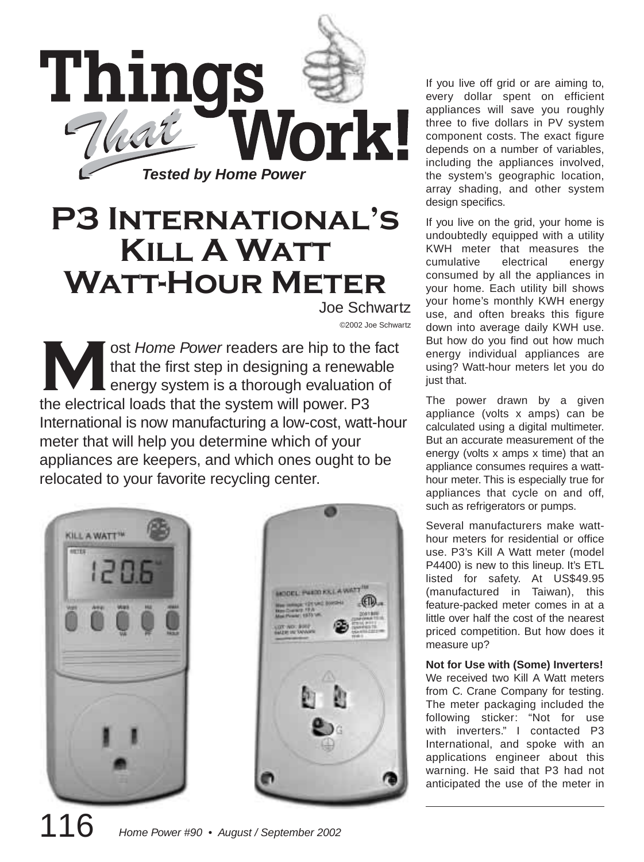

# **P3 International's Kill A Watt Watt-Hour Meter**

Joe Schwartz ©2002 Joe Schwartz

**Most Home Power readers are hip to the fact<br>
that the first step in designing a renewable<br>
energy system is a thorough evaluation of** that the first step in designing a renewable energy system is a thorough evaluation of the electrical loads that the system will power. P3 International is now manufacturing a low-cost, watt-hour meter that will help you determine which of your appliances are keepers, and which ones ought to be relocated to your favorite recycling center.





If you live off grid or are aiming to, every dollar spent on efficient appliances will save you roughly three to five dollars in PV system component costs. The exact figure depends on a number of variables, including the appliances involved, the system's geographic location, array shading, and other system design specifics.

If you live on the grid, your home is undoubtedly equipped with a utility KWH meter that measures the cumulative electrical energy consumed by all the appliances in your home. Each utility bill shows your home's monthly KWH energy use, and often breaks this figure down into average daily KWH use. But how do you find out how much energy individual appliances are using? Watt-hour meters let you do just that.

The power drawn by a given appliance (volts x amps) can be calculated using a digital multimeter. But an accurate measurement of the energy (volts x amps x time) that an appliance consumes requires a watthour meter. This is especially true for appliances that cycle on and off, such as refrigerators or pumps.

Several manufacturers make watthour meters for residential or office use. P3's Kill A Watt meter (model P4400) is new to this lineup. It's ETL listed for safety. At US\$49.95 (manufactured in Taiwan), this feature-packed meter comes in at a little over half the cost of the nearest priced competition. But how does it measure up?

**Not for Use with (Some) Inverters!** We received two Kill A Watt meters from C. Crane Company for testing. The meter packaging included the following sticker: "Not for use with inverters." I contacted P3 International, and spoke with an applications engineer about this warning. He said that P3 had not anticipated the use of the meter in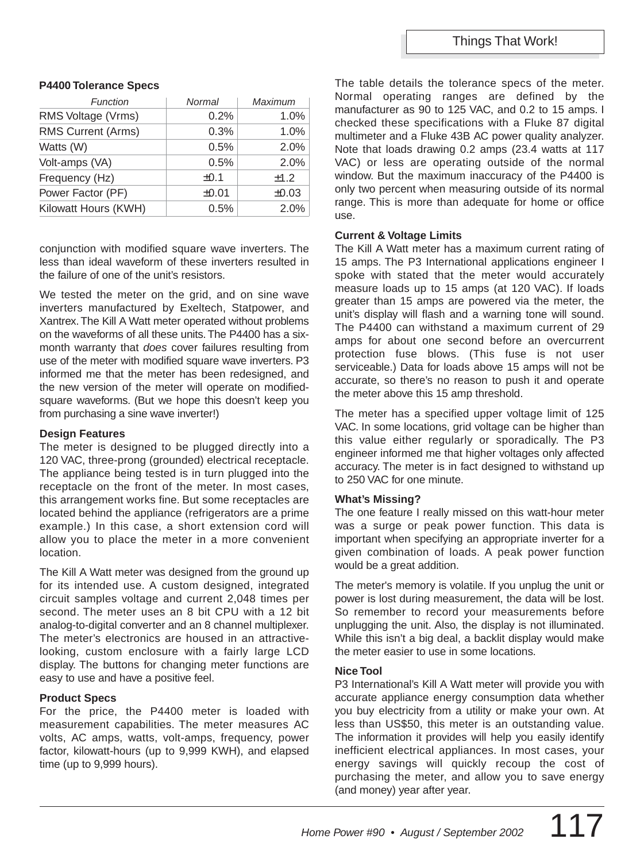#### **P4400 Tolerance Specs**

| Function             | Normal     | Maximum    |
|----------------------|------------|------------|
| RMS Voltage (Vrms)   | 0.2%       | 1.0%       |
| RMS Current (Arms)   | 0.3%       | 1.0%       |
| Watts (W)            | 0.5%       | 2.0%       |
| Volt-amps (VA)       | 0.5%       | 2.0%       |
| Frequency (Hz)       | $\pm 0.1$  | ±1.2       |
| Power Factor (PF)    | $\pm 0.01$ | $\pm 0.03$ |
| Kilowatt Hours (KWH) | 0.5%       | 2.0%       |

conjunction with modified square wave inverters. The less than ideal waveform of these inverters resulted in the failure of one of the unit's resistors.

We tested the meter on the grid, and on sine wave inverters manufactured by Exeltech, Statpower, and Xantrex. The Kill A Watt meter operated without problems on the waveforms of all these units. The P4400 has a sixmonth warranty that does cover failures resulting from use of the meter with modified square wave inverters. P3 informed me that the meter has been redesigned, and the new version of the meter will operate on modifiedsquare waveforms. (But we hope this doesn't keep you from purchasing a sine wave inverter!)

#### **Design Features**

The meter is designed to be plugged directly into a 120 VAC, three-prong (grounded) electrical receptacle. The appliance being tested is in turn plugged into the receptacle on the front of the meter. In most cases, this arrangement works fine. But some receptacles are located behind the appliance (refrigerators are a prime example.) In this case, a short extension cord will allow you to place the meter in a more convenient location.

The Kill A Watt meter was designed from the ground up for its intended use. A custom designed, integrated circuit samples voltage and current 2,048 times per second. The meter uses an 8 bit CPU with a 12 bit analog-to-digital converter and an 8 channel multiplexer. The meter's electronics are housed in an attractivelooking, custom enclosure with a fairly large LCD display. The buttons for changing meter functions are easy to use and have a positive feel.

## **Product Specs**

For the price, the P4400 meter is loaded with measurement capabilities. The meter measures AC volts, AC amps, watts, volt-amps, frequency, power factor, kilowatt-hours (up to 9,999 KWH), and elapsed time (up to 9,999 hours).

The table details the tolerance specs of the meter. Normal operating ranges are defined by the manufacturer as 90 to 125 VAC, and 0.2 to 15 amps. I checked these specifications with a Fluke 87 digital multimeter and a Fluke 43B AC power quality analyzer. Note that loads drawing 0.2 amps (23.4 watts at 117 VAC) or less are operating outside of the normal window. But the maximum inaccuracy of the P4400 is only two percent when measuring outside of its normal range. This is more than adequate for home or office use.

## **Current & Voltage Limits**

The Kill A Watt meter has a maximum current rating of 15 amps. The P3 International applications engineer I spoke with stated that the meter would accurately measure loads up to 15 amps (at 120 VAC). If loads greater than 15 amps are powered via the meter, the unit's display will flash and a warning tone will sound. The P4400 can withstand a maximum current of 29 amps for about one second before an overcurrent protection fuse blows. (This fuse is not user serviceable.) Data for loads above 15 amps will not be accurate, so there's no reason to push it and operate the meter above this 15 amp threshold.

The meter has a specified upper voltage limit of 125 VAC. In some locations, grid voltage can be higher than this value either regularly or sporadically. The P3 engineer informed me that higher voltages only affected accuracy. The meter is in fact designed to withstand up to 250 VAC for one minute.

## **What's Missing?**

The one feature I really missed on this watt-hour meter was a surge or peak power function. This data is important when specifying an appropriate inverter for a given combination of loads. A peak power function would be a great addition.

The meter's memory is volatile. If you unplug the unit or power is lost during measurement, the data will be lost. So remember to record your measurements before unplugging the unit. Also, the display is not illuminated. While this isn't a big deal, a backlit display would make the meter easier to use in some locations.

## **Nice Tool**

P3 International's Kill A Watt meter will provide you with accurate appliance energy consumption data whether you buy electricity from a utility or make your own. At less than US\$50, this meter is an outstanding value. The information it provides will help you easily identify inefficient electrical appliances. In most cases, your energy savings will quickly recoup the cost of purchasing the meter, and allow you to save energy (and money) year after year.